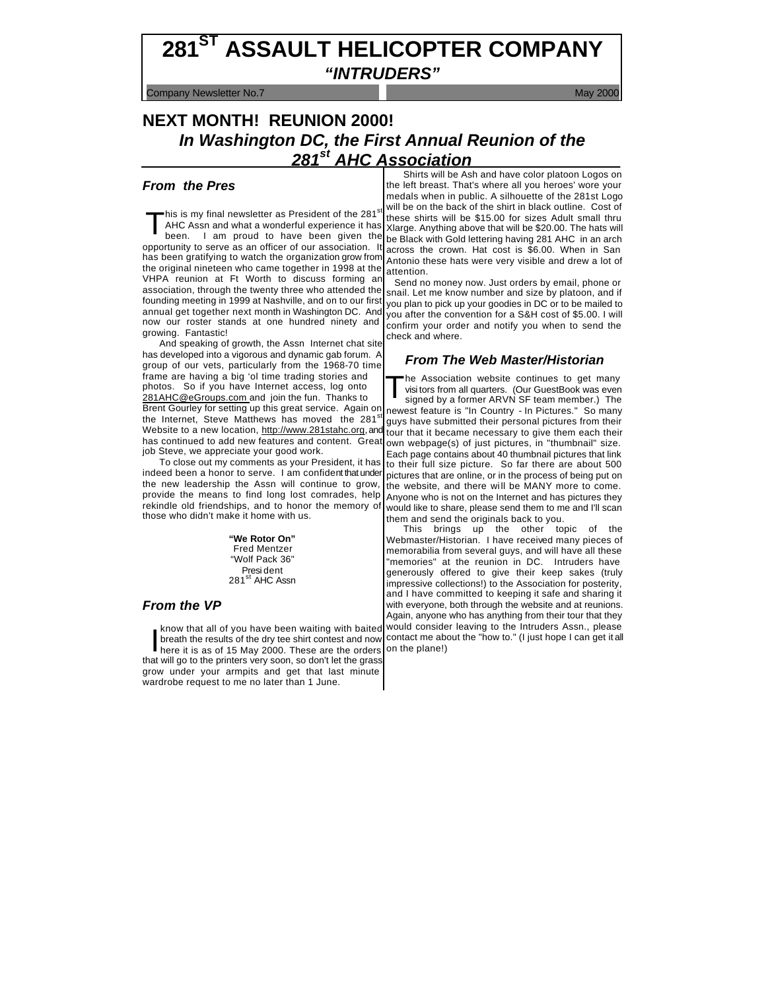# **281ST ASSAULT HELICOPTER COMPANY** *"INTRUDERS"*

**Company Newsletter No.7** May 2000 Company Newsletter No.7

## **NEXT MONTH! REUNION 2000!** *In Washington DC, the First Annual Reunion of the 281st AHC Association*

## *From the Pres*

'his is my final newsletter as President of the 281 $^{\circ}$ AHC Assn and what a wonderful experience it has been. I am proud to have been given the opportunity to serve as an officer of our association. It has been gratifying to watch the organization grow from the original nineteen who came together in 1998 at the VHPA reunion at Ft Worth to discuss forming an association, through the twenty three who attended the founding meeting in 1999 at Nashville, and on to our first annual get together next month in Washington DC. And now our roster stands at one hundred ninety and growing. Fantastic! T

And speaking of growth, the Assn Internet chat site has developed into a vigorous and dynamic gab forum. A group of our vets, particularly from the 1968-70 time frame are having a big 'ol time trading stories and photos. So if you have Internet access, log onto 281AHC@eGroups.com and join the fun. Thanks to Brent Gourley for setting up this great service. Again on the Internet, Steve Matthews has moved the 281<sup>st</sup> Website to a new location, http://www.281stahc.org, and has continued to add new features and content. Great job Steve, we appreciate your good work.

To close out my comments as your President, it has indeed been a honor to serve. I am confident that under the new leadership the Assn will continue to grow, provide the means to find long lost comrades, help rekindle old friendships, and to honor the memory of those who didn't make it home with us.

> **"We Rotor On"** Fred Mentzer "Wolf Pack 36" Presi dent 281<sup>st</sup> AHC Assn

## *From the VP*

know that all of you have been waiting with baited breath the results of the dry tee shirt contest and now here it is as of 15 May 2000. These are the orders know that all of you have been waiting with baited<br>breath the results of the dry tee shirt contest and now<br>here it is as of 15 May 2000. These are the orders<br>that will go to the printers very soon, so don't let the grass grow under your armpits and get that last minute wardrobe request to me no later than 1 June.

Shirts will be Ash and have color platoon Logos on the left breast. That's where all you heroes' wore your medals when in public. A silhouette of the 281st Logo will be on the back of the shirt in black outline. Cost of these shirts will be \$15.00 for sizes Adult small thru Xlarge. Anything above that will be \$20.00. The hats will be Black with Gold lettering having 281 AHC in an arch across the crown. Hat cost is \$6.00. When in San Antonio these hats were very visible and drew a lot of attention.

 Send no money now. Just orders by email, phone or snail. Let me know number and size by platoon, and if you plan to pick up your goodies in DC or to be mailed to you after the convention for a S&H cost of \$5.00. I will confirm your order and notify you when to send the check and where.

## *From The Web Master/Historian*

he Association website continues to get many visi tors from all quarters. (Our GuestBook was even signed by a former ARVN SF team member.) The newest feature is "In Country - In Pictures." So many guys have submitted their personal pictures from their tour that it became necessary to give them each their own webpage(s) of just pictures, in "thumbnail" size. Each page contains about 40 thumbnail pictures that link to their full size picture. So far there are about 500 pictures that are online, or in the process of being put on the website, and there will be MANY more to come. Anyone who is not on the Internet and has pictures they would like to share, please send them to me and I'll scan them and send the originals back to you. T

This brings up the other topic of the Webmaster/Historian. I have received many pieces of memorabilia from several guys, and will have all these "memories" at the reunion in DC. Intruders have generously offered to give their keep sakes (truly impressive collections!) to the Association for posterity, and I have committed to keeping it safe and sharing it with evervone, both through the website and at reunions. Again, anyone who has anything from their tour that they would consider leaving to the Intruders Assn., please contact me about the "how to." (I just hope I can get it all on the plane!)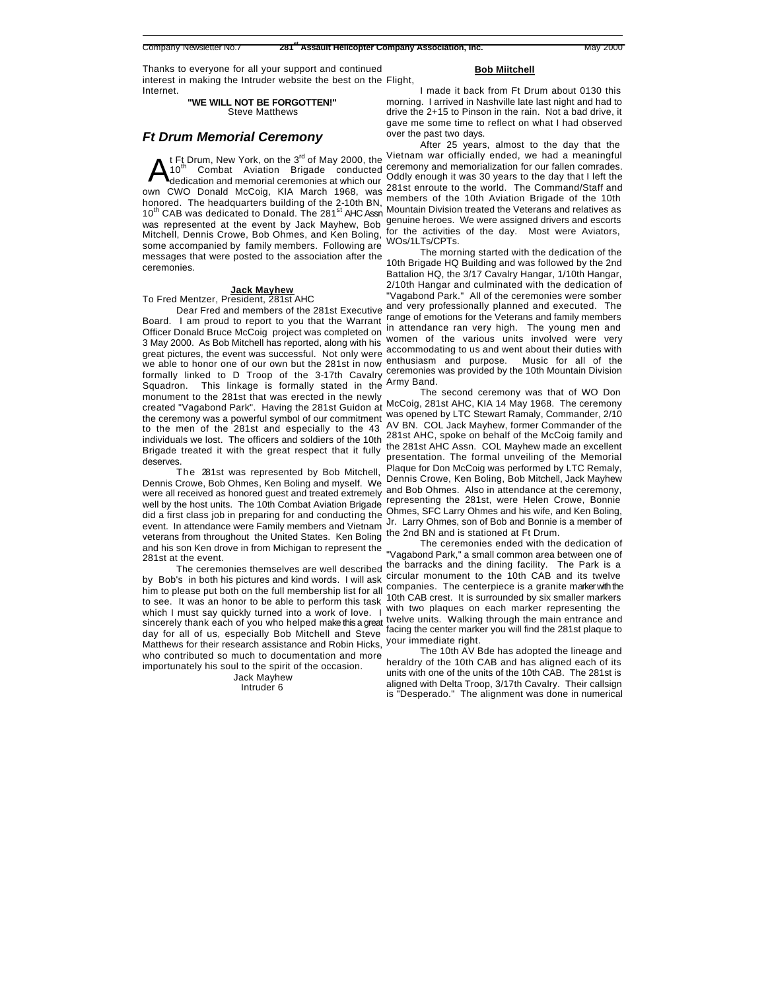Thanks to everyone for all your support and continued interest in making the Intruder website the best on the Flight, Internet.

#### **"WE WILL NOT BE FORGOTTEN!"** Steve Matthews

## *Ft Drum Memorial Ceremony*

t Ft Drum, New York, on the  $3<sup>rd</sup>$  of May 2000, the 10<sup>th</sup> Combat Aviation Brigade conducted Combat Aviation Brigade conducted dedication and memorial ceremonies at which our own CWO Donald McCoig, KIA March 1968, was honored. The headquarters building of the 2-10th BN, 10<sup>th</sup> CAB was dedicated to Donald. The 281<sup>st</sup> AHC Assn was represented at the event by Jack Mayhew, Bob Mitchell, Dennis Crowe, Bob Ohmes, and Ken Boling, some accompanied by family members. Following are messages that were posted to the association after the ceremonies. A

#### **Jack Mayhew**

#### To Fred Mentzer, President, 281st AHC

Dear Fred and members of the 281st Executive Board. I am proud to report to you that the Warrant Officer Donald Bruce McCoig project was completed on 3 May 2000. As Bob Mitchell has reported, along with his great pictures, the event was successful. Not only were we able to honor one of our own but the 281st in now formally linked to D Troop of the 3-17th Cavalry Squadron. This linkage is formally stated in the monument to the 281st that was erected in the newly created "Vagabond Park". Having the 281st Guidon at the ceremony was a powerful symbol of our commitment to the men of the 281st and especially to the 43 individuals we lost. The officers and soldiers of the 10th Brigade treated it with the great respect that it fully deserves.

The 281st was represented by Bob Mitchell, Dennis Crowe, Bob Ohmes, Ken Boling and myself. We were all received as honored guest and treated extremely well by the host units. The 10th Combat Aviation Brigade did a first class job in preparing for and conducting the event. In attendance were Family members and Vietnam veterans from throughout the United States. Ken Boling and his son Ken drove in from Michigan to represent the 281st at the event.

The ceremonies themselves are well described by Bob's in both his pictures and kind words. I will ask him to please put both on the full membership list for all to see. It was an honor to be able to perform this task which I must say quickly turned into a work of love. sincerely thank each of you who helped make this a great day for all of us, especially Bob Mitchell and Steve Matthews for their research assistance and Robin Hicks, who contributed so much to documentation and more importunately his soul to the spirit of the occasion.

> Jack Mayhew Intruder 6

#### **Bob Miitchell**

I made it back from Ft Drum about 0130 this morning. I arrived in Nashville late last night and had to drive the 2+15 to Pinson in the rain. Not a bad drive, it gave me some time to reflect on what I had observed over the past two days.

After 25 years, almost to the day that the Vietnam war officially ended, we had a meaningful ceremony and memorialization for our fallen comrades. Oddly enough it was 30 years to the day that I left the 281st enroute to the world. The Command/Staff and members of the 10th Aviation Brigade of the 10th Mountain Division treated the Veterans and relatives as genuine heroes. We were assigned drivers and escorts for the activities of the day. Most were Aviators, WOs/1LTs/CPTs.

The morning started with the dedication of the 10th Brigade HQ Building and was followed by the 2nd Battalion HQ, the 3/17 Cavalry Hangar, 1/10th Hangar, 2/10th Hangar and culminated with the dedication of "Vagabond Park." All of the ceremonies were somber and very professionally planned and executed. The range of emotions for the Veterans and family members in attendance ran very high. The young men and women of the various units involved were very accommodating to us and went about their duties with enthusiasm and purpose. Music for all of the ceremonies was provided by the 10th Mountain Division Army Band.

The second ceremony was that of WO Don McCoig, 281st AHC, KIA 14 May 1968. The ceremony was opened by LTC Stewart Ramaly, Commander, 2/10 AV BN. COL Jack Mayhew, former Commander of the 281st AHC, spoke on behalf of the McCoig family and the 281st AHC Assn. COL Mayhew made an excellent presentation. The formal unveiling of the Memorial Plaque for Don McCoig was performed by LTC Remaly, Dennis Crowe, Ken Boling, Bob Mitchell, Jack Mayhew and Bob Ohmes. Also in attendance at the ceremony, representing the 281st, were Helen Crowe, Bonnie Ohmes, SFC Larry Ohmes and his wife, and Ken Boling, Jr. Larry Ohmes, son of Bob and Bonnie is a member of the 2nd BN and is stationed at Ft Drum.

The ceremonies ended with the dedication of "Vagabond Park," a small common area between one of the barracks and the dining facility. The Park is a circular monument to the 10th CAB and its twelve companies. The centerpiece is a granite marker with the 10th CAB crest. It is surrounded by six smaller markers with two plaques on each marker representing the twelve units. Walking through the main entrance and facing the center marker you will find the 281st plaque to your immediate right.

The 10th AV Bde has adopted the lineage and heraldry of the 10th CAB and has aligned each of its units with one of the units of the 10th CAB. The 281st is aligned with Delta Troop, 3/17th Cavalry. Their callsign is "Desperado." The alignment was done in numerical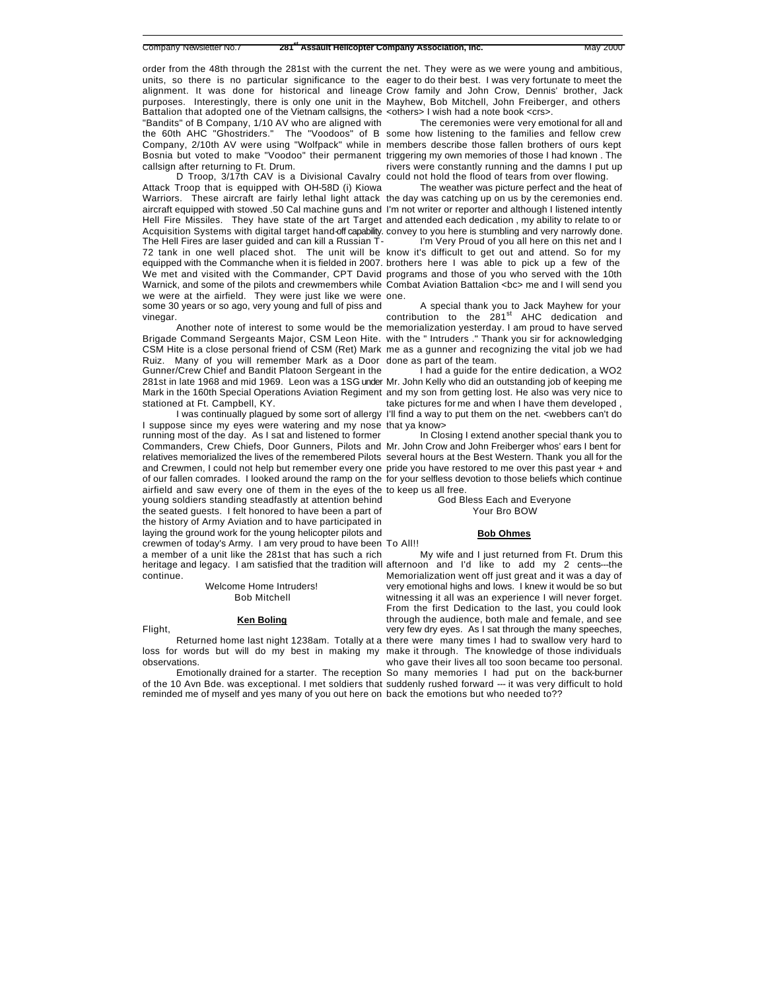units, so there is no particular significance to the eager to do their best. I was very fortunate to meet the alignment. It was done for historical and lineage Crow family and John Crow, Dennis' brother, Jack purposes. Interestingly, there is only one unit in the Mayhew, Bob Mitchell, John Freiberger, and others Battalion that adopted one of the Vietnam callsigns, the <others> I wish had a note book <crs>. "Bandits" of B Company, 1/10 AV who are aligned with the 60th AHC "Ghostriders." The "Voodoos" of B some how listening to the families and fellow crew Company, 2/10th AV were using "Wolfpack" while in members describe those fallen brothers of ours kept Bosnia but voted to make "Voodoo" their permanent triggering my own memories of those I had known . The callsign after returning to Ft. Drum.

D Troop, 3/17th CAV is a Divisional Cavalry could not hold the flood of tears from over flowing. Attack Troop that is equipped with OH-58D (i) Kiowa Warriors. These aircraft are fairly lethal light attack the day was catching up on us by the ceremonies end. aircraft equipped with stowed .50 Cal machine guns and I'm not writer or reporter and although I listened intently Hell Fire Missiles. They have state of the art Target and attended each dedication , my ability to relate to or Acquisition Systems with digital target hand-off capability. convey to you here is stumbling and very narrowly done. The Hell Fires are laser guided and can kill a Russian T-72 tank in one well placed shot. The unit will be know it's difficult to get out and attend. So for my equipped with the Commanche when it is fielded in 2007. brothers here I was able to pick up a few of the We met and visited with the Commander, CPT David programs and those of you who served with the 10th Warnick, and some of the pilots and crewmembers while Combat Aviation Battalion <bc> me and I will send you we were at the airfield. They were just like we were one. some 30 years or so ago, very young and full of piss and vinegar.

Brigade Command Sergeants Major, CSM Leon Hite. with the " Intruders ." Thank you sir for acknowledging CSM Hite is a close personal friend of CSM (Ret) Mark me as a gunner and recognizing the vital job we had Ruiz. Many of you will remember Mark as a Door done as part of the team. Gunner/Crew Chief and Bandit Platoon Sergeant in the 281st in late 1968 and mid 1969. Leon was a 1SG under Mr. John Kelly who did an outstanding job of keeping me Mark in the 160th Special Operations Aviation Regiment and my son from getting lost. He also was very nice to stationed at Ft. Campbell, KY.

I suppose since my eyes were watering and my nose that ya know> running most of the day. As I sat and listened to former Commanders, Crew Chiefs, Door Gunners, Pilots and Mr. John Crow and John Freiberger whos' ears I bent for relatives memorialized the lives of the remembered Pilots several hours at the Best Western. Thank you all for the and Crewmen, I could not help but remember every one pride you have restored to me over this past year + and of our fallen comrades. I looked around the ramp on the for your selfless devotion to those beliefs which continue airfield and saw every one of them in the eyes of the to keep us all free. young soldiers standing steadfastly at attention behind the seated guests. I felt honored to have been a part of the history of Army Aviation and to have participated in laying the ground work for the young helicopter pilots and crewmen of today's Army. I am very proud to have been To All!! a member of a unit like the 281st that has such a rich heritage and legacy. I am satisfied that the tradition will afternoon and I'd like to add my 2 cents---the continue.

Welcome Home Intruders! Bob Mitchell

#### **Ken Boling**

Flight,

observations.

of the 10 Avn Bde. was exceptional. I met soldiers that suddenly rushed forward --- it was very difficult to hold reminded me of myself and yes many of you out here on back the emotions but who needed to??

order from the 48th through the 281st with the current the net. They were as we were young and ambitious,

The ceremonies were very emotional for all and rivers were constantly running and the damns I put up

The weather was picture perfect and the heat of

I'm Very Proud of you all here on this net and I

Another note of interest to some would be the memorialization yesterday. I am proud to have served A special thank you to Jack Mayhew for your contribution to the  $281<sup>st</sup>$  AHC dedication and

I was continually plagued by some sort of allergy I'll find a way to put them on the net. <webbers can't do I had a guide for the entire dedication, a WO2 take pictures for me and when I have them developed ,

In Closing I extend another special thank you to

God Bless Each and Everyone Your Bro BOW

#### **Bob Ohmes**

Returned home last night 1238am. Totally at a there were many times I had to swallow very hard to loss for words but will do my best in making my make it through. The knowledge of those individuals Emotionally drained for a starter. The reception So many memories I had put on the back-burner My wife and I just returned from Ft. Drum this Memorialization went off just great and it was a day of very emotional highs and lows. I knew it would be so but witnessing it all was an experience I will never forget. From the first Dedication to the last, you could look through the audience, both male and female, and see very few dry eyes. As I sat through the many speeches, who gave their lives all too soon became too personal.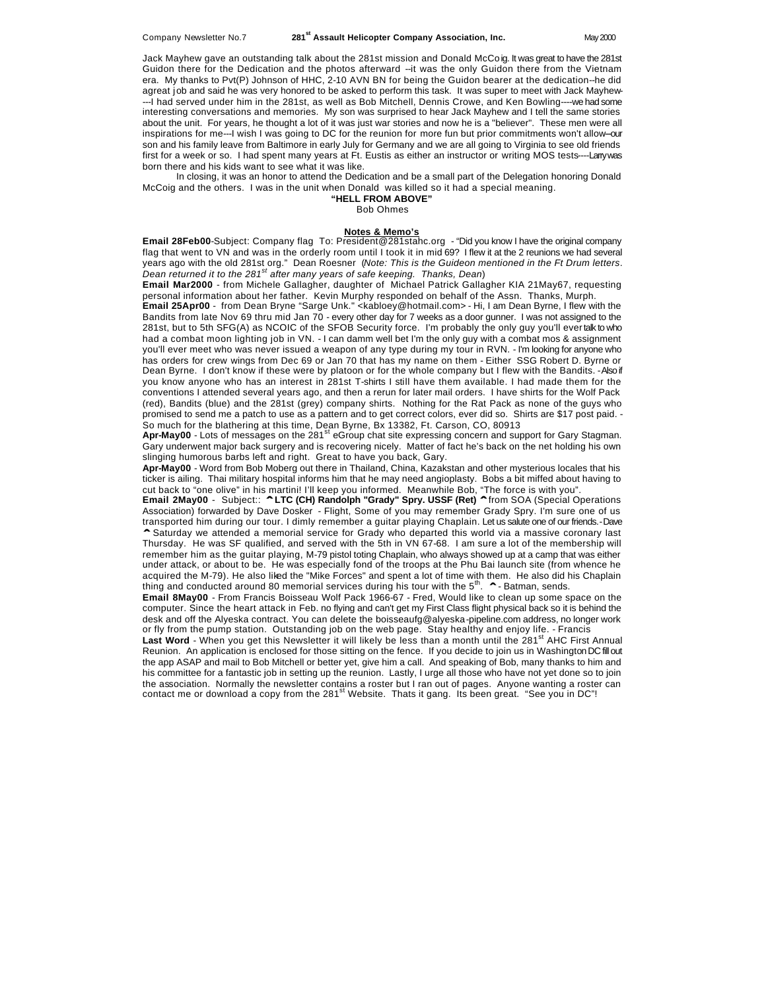Jack Mayhew gave an outstanding talk about the 281st mission and Donald McCoig. It was great to have the 281st Guidon there for the Dedication and the photos afterward --it was the only Guidon there from the Vietnam era. My thanks to Pvt(P) Johnson of HHC, 2-10 AVN BN for being the Guidon bearer at the dedication--he did agreat job and said he was very honored to be asked to perform this task. It was super to meet with Jack Mayhew- ---I had served under him in the 281st, as well as Bob Mitchell, Dennis Crowe, and Ken Bowling----we had some interesting conversations and memories. My son was surprised to hear Jack Mayhew and I tell the same stories about the unit. For years, he thought a lot of it was just war stories and now he is a "believer". These men were all inspirations for me---I wish I was going to DC for the reunion for more fun but prior commitments won't allow--our son and his family leave from Baltimore in early July for Germany and we are all going to Virginia to see old friends first for a week or so. I had spent many years at Ft. Eustis as either an instructor or writing MOS tests----Larry was born there and his kids want to see what it was like.

In closing, it was an honor to attend the Dedication and be a small part of the Delegation honoring Donald McCoig and the others. I was in the unit when Donald was killed so it had a special meaning.

#### **"HELL FROM ABOVE"**

Bob Ohmes

#### **Notes & Memo's**

**Email 28Feb00**-Subject: Company flag To: President@281stahc.org - "Did you know I have the original company flag that went to VN and was in the orderly room until I took it in mid 69? I flew it at the 2 reunions we had several years ago with the old 281st org." Dean Roesner (*Note: This is the Guideon mentioned in the Ft Drum letters*. *Dean returned it to the 281st after many years of safe keeping. Thanks, Dean*)

**Email Mar2000** - from Michele Gallagher, daughter of Michael Patrick Gallagher KIA 21May67, requesting personal information about her father. Kevin Murphy responded on behalf of the Assn. Thanks, Murph.

**Email 25Apr00** - from Dean Bryne "Sarge Unk." <kabloey@hotmail.com> - Hi, I am Dean Byrne, I flew with the Bandits from late Nov 69 thru mid Jan 70 - every other day for 7 weeks as a door gunner. I was not assigned to the 281st, but to 5th SFG(A) as NCOIC of the SFOB Security force. I'm probably the only guy you'll ever talk to who had a combat moon lighting job in VN. - I can damm well bet I'm the only guy with a combat mos & assignment you'll ever meet who was never issued a weapon of any type during my tour in RVN. - I'm looking for anyone who has orders for crew wings from Dec 69 or Jan 70 that has my name on them - Either SSG Robert D. Byrne or Dean Byrne. I don't know if these were by platoon or for the whole company but I flew with the Bandits. - Also if you know anyone who has an interest in 281st T-shirts I still have them available. I had made them for the conventions I attended several years ago, and then a rerun for later mail orders. I have shirts for the Wolf Pack (red), Bandits (blue) and the 281st (grey) company shirts. Nothing for the Rat Pack as none of the guys who promised to send me a patch to use as a pattern and to get correct colors, ever did so. Shirts are \$17 post paid. - So much for the blathering at this time, Dean Byrne, Bx 13382, Ft. Carson, CO, 80913

Apr-May00 - Lots of messages on the 281<sup>st</sup> eGroup chat site expressing concern and support for Gary Stagman. Gary underwent major back surgery and is recovering nicely. Matter of fact he's back on the net holding his own slinging humorous barbs left and right. Great to have you back, Gary.

**Apr-May00** - Word from Bob Moberg out there in Thailand, China, Kazakstan and other mysterious locales that his ticker is ailing. Thai military hospital informs him that he may need angioplasty. Bobs a bit miffed about having to cut back to "one olive" in his martini! I'll keep you informed. Meanwhile Bob, "The force is with you".

**Email 2May00** - Subject:: **^ LTC (CH) Randolph "Grady" Spry. USSF (Ret) ^** from SOA (Special Operations Association) forwarded by Dave Dosker - Flight, Some of you may remember Grady Spry. I'm sure one of us transported him during our tour. I dimly remember a guitar playing Chaplain. Let us salute one of our friends.- Dave **^** Saturday we attended a memorial service for Grady who departed this world via a massive coronary last Thursday. He was SF qualified, and served with the 5th in VN 67-68. I am sure a lot of the membership will remember him as the guitar playing, M-79 pistol toting Chaplain, who always showed up at a camp that was either under attack, or about to be. He was especially fond of the troops at the Phu Bai launch site (from whence he acquired the M-79). He also liked the "Mike Forces" and spent a lot of time with them. He also did his Chaplain thing and conducted around 80 memorial services during his tour with the 5<sup>th</sup>. **^** - Batman, sends.

**Email 8May00** - From Francis Boisseau Wolf Pack 1966-67 - Fred, Would like to clean up some space on the computer. Since the heart attack in Feb. no flying and can't get my First Class flight physical back so it is behind the desk and off the Alyeska contract. You can delete the boisseaufg@alyeska-pipeline.com address, no longer work or fly from the pump station. Outstanding job on the web page. Stay healthy and enjoy life. - Francis

Last Word - When you get this Newsletter it will likely be less than a month until the 281<sup>st</sup> AHC First Annual Reunion. An application is enclosed for those sitting on the fence. If you decide to join us in Washington DC fill out the app ASAP and mail to Bob Mitchell or better yet, give him a call. And speaking of Bob, many thanks to him and his committee for a fantastic job in setting up the reunion. Lastly, I urge all those who have not yet done so to join the association. Normally the newsletter contains a roster but I ran out of pages. Anyone wanting a roster can contact me or download a copy from the 281<sup>st</sup> Website. Thats it gang. Its been great. "See you in DC"!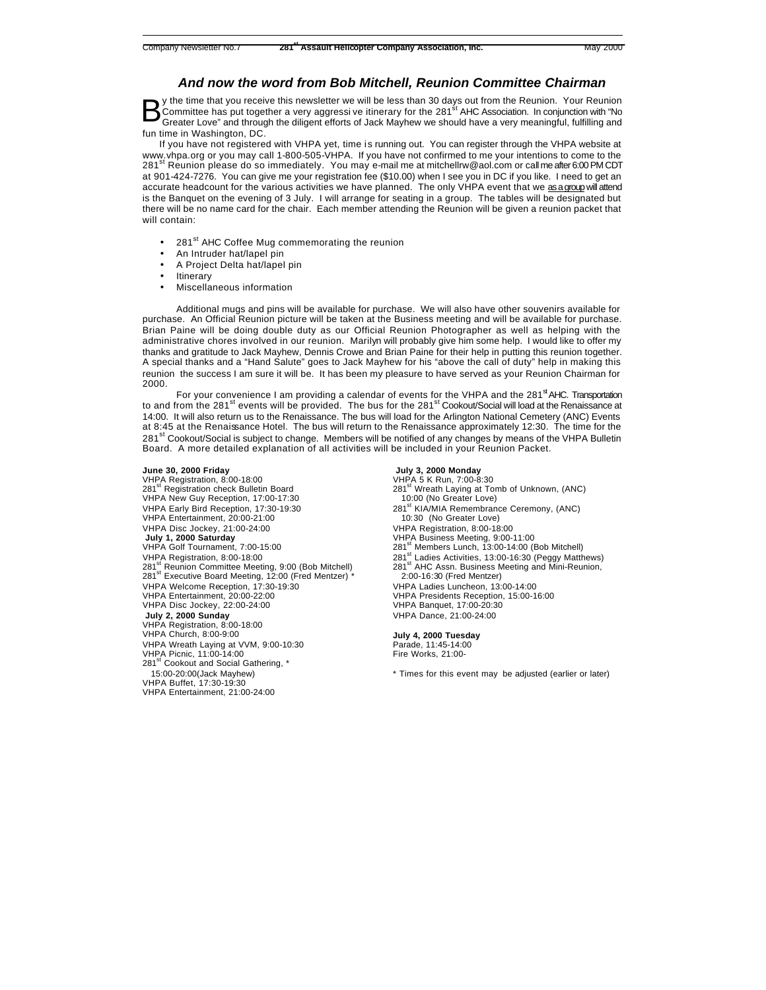## *And now the word from Bob Mitchell, Reunion Committee Chairman*

y the time that you receive this newsletter we will be less than 30 days out from the Reunion. Your Reunion Committee has put together a very aggressi ve itinerary for the 281<sup>st</sup> AHC Association. In conjunction with "No Greater Love" and through the diligent efforts of Jack Mayhew we should have a very meaningful, fulfilling and fun time in Washington, DC. B

If you have not registered with VHPA yet, time is running out. You can register through the VHPA website at www.vhpa.org or you may call 1-800-505-VHPA. If you have not confirmed to me your intentions to come to the 281<sup>st</sup> Reunion please do so immediately. You may e-mail me at mitchellrw@aol.com or call me after 6:00 PM CDT at 901-424-7276. You can give me your registration fee (\$10.00) when I see you in DC if you like. I need to get an accurate headcount for the various activities we have planned. The only VHPA event that we as a group will attend is the Banquet on the evening of 3 July. I will arrange for seating in a group. The tables will be designated but there will be no name card for the chair. Each member attending the Reunion will be given a reunion packet that will contain:

- 281<sup>st</sup> AHC Coffee Mug commemorating the reunion
- An Intruder hat/lapel pin
- A Project Delta hat/lapel pin
- **Itinerary**
- Miscellaneous information

Additional mugs and pins will be available for purchase. We will also have other souvenirs available for purchase. An Official Reunion picture will be taken at the Business meeting and will be available for purchase. Brian Paine will be doing double duty as our Official Reunion Photographer as well as helping with the administrative chores involved in our reunion. Marilyn will probably give him some help. I would like to offer my thanks and gratitude to Jack Mayhew, Dennis Crowe and Brian Paine for their help in putting this reunion together. A special thanks and a "Hand Salute" goes to Jack Mayhew for his "above the call of duty" help in making this reunion the success I am sure it will be. It has been my pleasure to have served as your Reunion Chairman for 2000.

For your convenience I am providing a calendar of events for the VHPA and the 281<sup>st</sup> AHC. Transportation to and from the 281<sup>st</sup> events will be provided. The bus for the 281<sup>st</sup> Cookout/Social will load at the Renaissance at 14:00. It will also return us to the Renaissance. The bus will load for the Arlington National Cemetery (ANC) Events at 8:45 at the Renaissance Hotel. The bus will return to the Renaissance approximately 12:30. The time for the 281<sup>st</sup> Cookout/Social is subiect to change. Members will be notified of any changes by means of the VHPA Bulletin Board. A more detailed explanation of all activities will be included in your Reunion Packet.

#### **June 30, 2000 Friday**

VHPA Registration, 8:00-18:00 281<sup>st</sup> Registration check Bulletin Board VHPA New Guy Reception, 17:00-17:30 VHPA Early Bird Reception, 17:30-19:30 VHPA Entertainment, 20:00-21:00 VHPA Disc Jockey, 21:00-24:00 **July 1, 2000 Saturday** VHPA Golf Tournament, 7:00-15:00 VHPA Registration, 8:00-18:00 281<sup>st</sup> Reunion Committee Meeting, 9:00 (Bob Mitchell) 281<sup>st</sup> Executive Board Meeting, 12:00 (Fred Mentzer)<sup>\*</sup> VHPA Welcome Reception, 17:30-19:30 VHPA Entertainment, 20:00-22:00 VHPA Disc Jockey, 22:00-24:00 **July 2, 2000 Sunday** VHPA Registration, 8:00-18:00 VHPA Church, 8:00-9:00 VHPA Wreath Laying at VVM, 9:00-10:30 VHPA Picnic, 11:00-14:00 281<sup>st</sup> Cookout and Social Gathering, \* 15:00-20:00(Jack Mayhew) VHPA Buffet, 17:30-19:30 VHPA Entertainment, 21:00-24:00

#### **July 3, 2000 Monday**

VHPA 5 K Run, 7:00-8:30 281<sup>st</sup> Wreath Laying at Tomb of Unknown, (ANC) 10:00 (No Greater Love) 281<sup>st</sup> KIA/MIA Remembrance Ceremony, (ANC) 10:30 (No Greater Love) VHPA Registration, 8:00-18:00 VHPA Business Meeting, 9:00-11:00 281<sup>st</sup> Members Lunch, 13:00-14:00 (Bob Mitchell) 281<sup>st</sup> Ladies Activities, 13:00-16:30 (Peggy Matthews) 281<sup>st</sup> AHC Assn. Business Meeting and Mini-Reunion, 2:00-16:30 (Fred Mentzer) VHPA Ladies Luncheon, 13:00-14:00 VHPA Presidents Reception, 15:00-16:00 VHPA Banquet, 17:00-20:30 VHPA Dance, 21:00-24:00

#### **July 4, 2000 Tuesday**

Parade, 11:45-14:00 Fire Works, 21:00-

\* Times for this event may be adjusted (earlier or later)